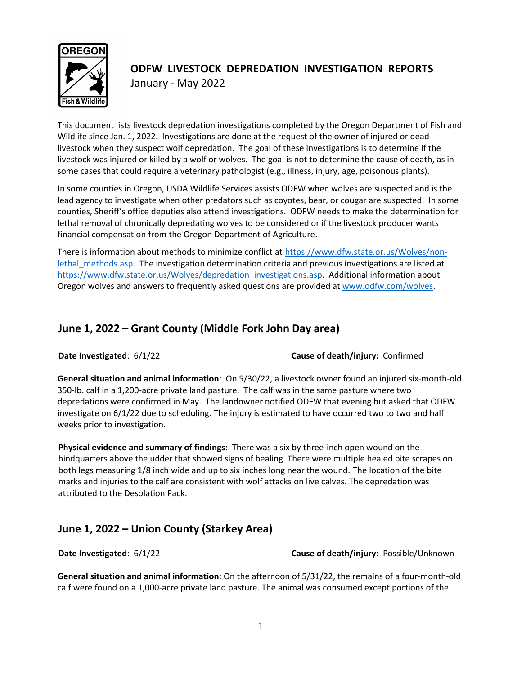

# **ODFW LIVESTOCK DEPREDATION INVESTIGATION REPORTS** January - May 2022

This document lists livestock depredation investigations completed by the Oregon Department of Fish and Wildlife since Jan. 1, 2022. Investigations are done at the request of the owner of injured or dead livestock when they suspect wolf depredation. The goal of these investigations is to determine if the livestock was injured or killed by a wolf or wolves. The goal is not to determine the cause of death, as in some cases that could require a veterinary pathologist (e.g., illness, injury, age, poisonous plants).

In some counties in Oregon, USDA Wildlife Services assists ODFW when wolves are suspected and is the lead agency to investigate when other predators such as coyotes, bear, or cougar are suspected. In some counties, Sheriff's office deputies also attend investigations. ODFW needs to make the determination for lethal removal of chronically depredating wolves to be considered or if the livestock producer wants financial compensation from the Oregon Department of Agriculture.

There is information about methods to minimize conflict at [https://www.dfw.state.or.us/Wolves/non](https://www.dfw.state.or.us/Wolves/non-lethal_methods.asp)lethal methods.asp. The investigation determination criteria and previous investigations are listed at [https://www.dfw.state.or.us/Wolves/depredation\\_investigations.asp.](https://www.dfw.state.or.us/Wolves/depredation_investigations.asp) Additional information about Oregon wolves and answers to frequently asked questions are provided a[t www.odfw.com/wolves.](http://www.odfw.com/wolves)

## **June 1, 2022 – Grant County (Middle Fork John Day area)**

**Date Investigated**: 6/1/22 **Cause of death/injury:** Confirmed

**General situation and animal information**: On 5/30/22, a livestock owner found an injured six-month-old 350-lb. calf in a 1,200-acre private land pasture. The calf was in the same pasture where two depredations were confirmed in May. The landowner notified ODFW that evening but asked that ODFW investigate on 6/1/22 due to scheduling. The injury is estimated to have occurred two to two and half weeks prior to investigation.

**Physical evidence and summary of findings:** There was a six by three-inch open wound on the hindquarters above the udder that showed signs of healing. There were multiple healed bite scrapes on both legs measuring 1/8 inch wide and up to six inches long near the wound. The location of the bite marks and injuries to the calf are consistent with wolf attacks on live calves. The depredation was attributed to the Desolation Pack.

# **June 1, 2022 – Union County (Starkey Area)**

**Date Investigated**: 6/1/22 **Cause of death/injury:** Possible/Unknown

**General situation and animal information**: On the afternoon of 5/31/22, the remains of a four-month-old calf were found on a 1,000-acre private land pasture. The animal was consumed except portions of the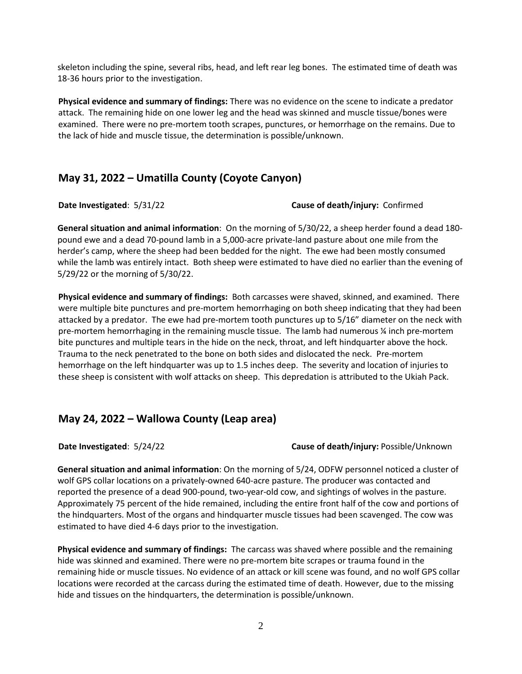skeleton including the spine, several ribs, head, and left rear leg bones. The estimated time of death was 18-36 hours prior to the investigation.

**Physical evidence and summary of findings:** There was no evidence on the scene to indicate a predator attack. The remaining hide on one lower leg and the head was skinned and muscle tissue/bones were examined. There were no pre-mortem tooth scrapes, punctures, or hemorrhage on the remains. Due to the lack of hide and muscle tissue, the determination is possible/unknown.

## **May 31, 2022 – Umatilla County (Coyote Canyon)**

#### **Date Investigated**: 5/31/22 **Cause of death/injury:** Confirmed

**General situation and animal information**: On the morning of 5/30/22, a sheep herder found a dead 180 pound ewe and a dead 70-pound lamb in a 5,000-acre private-land pasture about one mile from the herder's camp, where the sheep had been bedded for the night. The ewe had been mostly consumed while the lamb was entirely intact. Both sheep were estimated to have died no earlier than the evening of 5/29/22 or the morning of 5/30/22.

**Physical evidence and summary of findings:** Both carcasses were shaved, skinned, and examined. There were multiple bite punctures and pre-mortem hemorrhaging on both sheep indicating that they had been attacked by a predator. The ewe had pre-mortem tooth punctures up to 5/16" diameter on the neck with pre-mortem hemorrhaging in the remaining muscle tissue. The lamb had numerous ¼ inch pre-mortem bite punctures and multiple tears in the hide on the neck, throat, and left hindquarter above the hock. Trauma to the neck penetrated to the bone on both sides and dislocated the neck. Pre-mortem hemorrhage on the left hindquarter was up to 1.5 inches deep. The severity and location of injuries to these sheep is consistent with wolf attacks on sheep. This depredation is attributed to the Ukiah Pack.

## **May 24, 2022 – Wallowa County (Leap area)**

**Date Investigated**: 5/24/22 **Cause of death/injury:** Possible/Unknown

**General situation and animal information**: On the morning of 5/24, ODFW personnel noticed a cluster of wolf GPS collar locations on a privately-owned 640-acre pasture. The producer was contacted and reported the presence of a dead 900-pound, two-year-old cow, and sightings of wolves in the pasture. Approximately 75 percent of the hide remained, including the entire front half of the cow and portions of the hindquarters. Most of the organs and hindquarter muscle tissues had been scavenged. The cow was estimated to have died 4-6 days prior to the investigation.

**Physical evidence and summary of findings:** The carcass was shaved where possible and the remaining hide was skinned and examined. There were no pre-mortem bite scrapes or trauma found in the remaining hide or muscle tissues. No evidence of an attack or kill scene was found, and no wolf GPS collar locations were recorded at the carcass during the estimated time of death. However, due to the missing hide and tissues on the hindquarters, the determination is possible/unknown.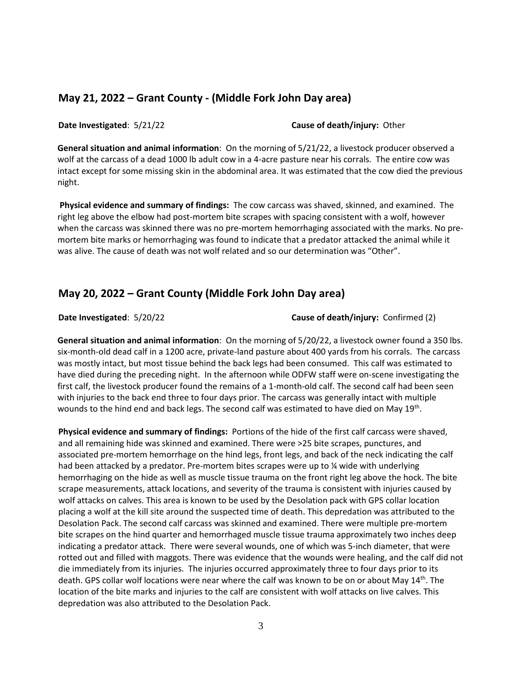## **May 21, 2022 – Grant County - (Middle Fork John Day area)**

**Date Investigated**: 5/21/22 **Cause of death/injury:** Other

**General situation and animal information**: On the morning of 5/21/22, a livestock producer observed a wolf at the carcass of a dead 1000 lb adult cow in a 4-acre pasture near his corrals. The entire cow was intact except for some missing skin in the abdominal area. It was estimated that the cow died the previous night.

**Physical evidence and summary of findings:** The cow carcass was shaved, skinned, and examined. The right leg above the elbow had post-mortem bite scrapes with spacing consistent with a wolf, however when the carcass was skinned there was no pre-mortem hemorrhaging associated with the marks. No premortem bite marks or hemorrhaging was found to indicate that a predator attacked the animal while it was alive. The cause of death was not wolf related and so our determination was "Other".

## **May 20, 2022 – Grant County (Middle Fork John Day area)**

**Date Investigated**: 5/20/22 **Cause of death/injury:** Confirmed (2)

**General situation and animal information**: On the morning of 5/20/22, a livestock owner found a 350 lbs. six-month-old dead calf in a 1200 acre, private-land pasture about 400 yards from his corrals. The carcass was mostly intact, but most tissue behind the back legs had been consumed. This calf was estimated to have died during the preceding night. In the afternoon while ODFW staff were on-scene investigating the first calf, the livestock producer found the remains of a 1-month-old calf. The second calf had been seen with injuries to the back end three to four days prior. The carcass was generally intact with multiple wounds to the hind end and back legs. The second calf was estimated to have died on May 19<sup>th</sup>.

**Physical evidence and summary of findings:** Portions of the hide of the first calf carcass were shaved, and all remaining hide was skinned and examined. There were >25 bite scrapes, punctures, and associated pre-mortem hemorrhage on the hind legs, front legs, and back of the neck indicating the calf had been attacked by a predator. Pre-mortem bites scrapes were up to % wide with underlying hemorrhaging on the hide as well as muscle tissue trauma on the front right leg above the hock. The bite scrape measurements, attack locations, and severity of the trauma is consistent with injuries caused by wolf attacks on calves. This area is known to be used by the Desolation pack with GPS collar location placing a wolf at the kill site around the suspected time of death. This depredation was attributed to the Desolation Pack. The second calf carcass was skinned and examined. There were multiple pre-mortem bite scrapes on the hind quarter and hemorrhaged muscle tissue trauma approximately two inches deep indicating a predator attack. There were several wounds, one of which was 5-inch diameter, that were rotted out and filled with maggots. There was evidence that the wounds were healing, and the calf did not die immediately from its injuries. The injuries occurred approximately three to four days prior to its death. GPS collar wolf locations were near where the calf was known to be on or about May 14<sup>th</sup>. The location of the bite marks and injuries to the calf are consistent with wolf attacks on live calves. This depredation was also attributed to the Desolation Pack.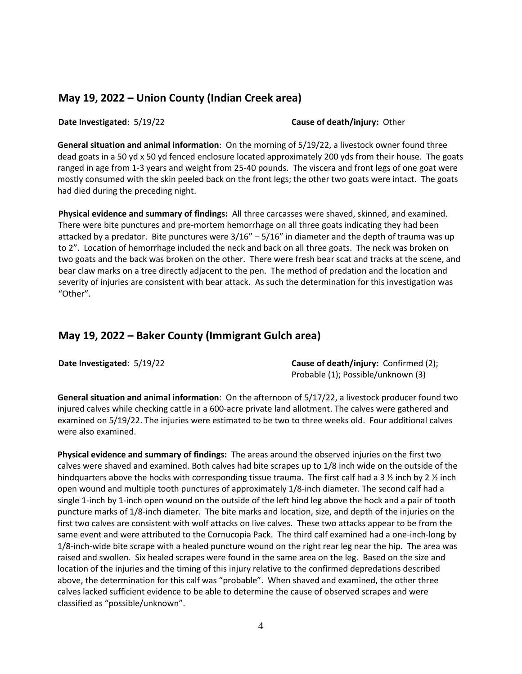## **May 19, 2022 – Union County (Indian Creek area)**

**Date Investigated**: 5/19/22 **Cause of death/injury:** Other

**General situation and animal information**: On the morning of 5/19/22, a livestock owner found three dead goats in a 50 yd x 50 yd fenced enclosure located approximately 200 yds from their house. The goats ranged in age from 1-3 years and weight from 25-40 pounds. The viscera and front legs of one goat were mostly consumed with the skin peeled back on the front legs; the other two goats were intact. The goats had died during the preceding night.

**Physical evidence and summary of findings:** All three carcasses were shaved, skinned, and examined. There were bite punctures and pre-mortem hemorrhage on all three goats indicating they had been attacked by a predator. Bite punctures were  $3/16'' - 5/16''$  in diameter and the depth of trauma was up to 2". Location of hemorrhage included the neck and back on all three goats. The neck was broken on two goats and the back was broken on the other. There were fresh bear scat and tracks at the scene, and bear claw marks on a tree directly adjacent to the pen. The method of predation and the location and severity of injuries are consistent with bear attack. As such the determination for this investigation was "Other".

## **May 19, 2022 – Baker County (Immigrant Gulch area)**

**Date Investigated**: 5/19/22 **Cause of death/injury:** Confirmed (2); Probable (1); Possible/unknown (3)

**General situation and animal information**: On the afternoon of 5/17/22, a livestock producer found two injured calves while checking cattle in a 600-acre private land allotment. The calves were gathered and examined on 5/19/22. The injuries were estimated to be two to three weeks old. Four additional calves were also examined.

**Physical evidence and summary of findings:** The areas around the observed injuries on the first two calves were shaved and examined. Both calves had bite scrapes up to 1/8 inch wide on the outside of the hindquarters above the hocks with corresponding tissue trauma. The first calf had a 3  $\frac{1}{2}$  inch by 2  $\frac{1}{2}$  inch open wound and multiple tooth punctures of approximately 1/8-inch diameter. The second calf had a single 1-inch by 1-inch open wound on the outside of the left hind leg above the hock and a pair of tooth puncture marks of 1/8-inch diameter. The bite marks and location, size, and depth of the injuries on the first two calves are consistent with wolf attacks on live calves. These two attacks appear to be from the same event and were attributed to the Cornucopia Pack. The third calf examined had a one-inch-long by 1/8-inch-wide bite scrape with a healed puncture wound on the right rear leg near the hip. The area was raised and swollen. Six healed scrapes were found in the same area on the leg. Based on the size and location of the injuries and the timing of this injury relative to the confirmed depredations described above, the determination for this calf was "probable". When shaved and examined, the other three calves lacked sufficient evidence to be able to determine the cause of observed scrapes and were classified as "possible/unknown".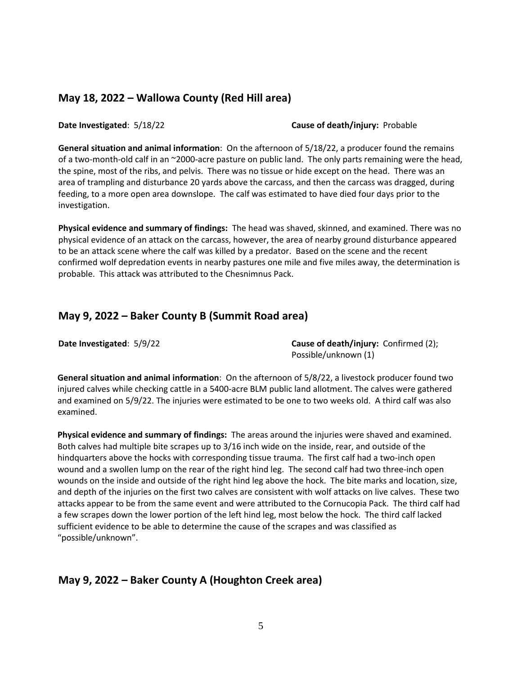## **May 18, 2022 – Wallowa County (Red Hill area)**

**Date Investigated**: 5/18/22 **Cause of death/injury:** Probable

**General situation and animal information**: On the afternoon of 5/18/22, a producer found the remains of a two-month-old calf in an ~2000-acre pasture on public land. The only parts remaining were the head, the spine, most of the ribs, and pelvis. There was no tissue or hide except on the head. There was an area of trampling and disturbance 20 yards above the carcass, and then the carcass was dragged, during feeding, to a more open area downslope. The calf was estimated to have died four days prior to the investigation.

**Physical evidence and summary of findings:** The head was shaved, skinned, and examined. There was no physical evidence of an attack on the carcass, however, the area of nearby ground disturbance appeared to be an attack scene where the calf was killed by a predator. Based on the scene and the recent confirmed wolf depredation events in nearby pastures one mile and five miles away, the determination is probable. This attack was attributed to the Chesnimnus Pack.

## **May 9, 2022 – Baker County B (Summit Road area)**

**Date Investigated:**  $5/9/22$  **Cause of death/injury:** Confirmed (2); Possible/unknown (1)

**General situation and animal information**: On the afternoon of 5/8/22, a livestock producer found two injured calves while checking cattle in a 5400-acre BLM public land allotment. The calves were gathered and examined on 5/9/22. The injuries were estimated to be one to two weeks old. A third calf was also examined.

**Physical evidence and summary of findings:** The areas around the injuries were shaved and examined. Both calves had multiple bite scrapes up to 3/16 inch wide on the inside, rear, and outside of the hindquarters above the hocks with corresponding tissue trauma. The first calf had a two-inch open wound and a swollen lump on the rear of the right hind leg. The second calf had two three-inch open wounds on the inside and outside of the right hind leg above the hock. The bite marks and location, size, and depth of the injuries on the first two calves are consistent with wolf attacks on live calves. These two attacks appear to be from the same event and were attributed to the Cornucopia Pack. The third calf had a few scrapes down the lower portion of the left hind leg, most below the hock. The third calf lacked sufficient evidence to be able to determine the cause of the scrapes and was classified as "possible/unknown".

## **May 9, 2022 – Baker County A (Houghton Creek area)**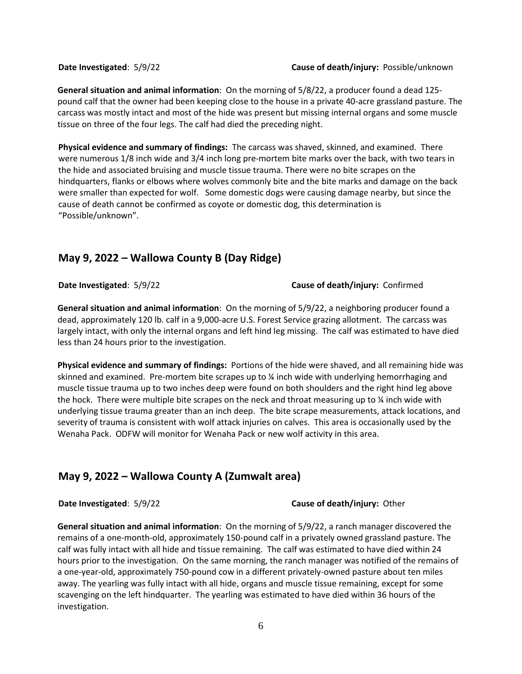**General situation and animal information**: On the morning of 5/8/22, a producer found a dead 125 pound calf that the owner had been keeping close to the house in a private 40-acre grassland pasture. The carcass was mostly intact and most of the hide was present but missing internal organs and some muscle tissue on three of the four legs. The calf had died the preceding night.

**Physical evidence and summary of findings:** The carcass was shaved, skinned, and examined. There were numerous 1/8 inch wide and 3/4 inch long pre-mortem bite marks over the back, with two tears in the hide and associated bruising and muscle tissue trauma. There were no bite scrapes on the hindquarters, flanks or elbows where wolves commonly bite and the bite marks and damage on the back were smaller than expected for wolf. Some domestic dogs were causing damage nearby, but since the cause of death cannot be confirmed as coyote or domestic dog, this determination is "Possible/unknown".

# **May 9, 2022 – Wallowa County B (Day Ridge)**

**Date Investigated**: 5/9/22 **Cause of death/injury:** Confirmed

**General situation and animal information**: On the morning of 5/9/22, a neighboring producer found a dead, approximately 120 lb. calf in a 9,000-acre U.S. Forest Service grazing allotment. The carcass was largely intact, with only the internal organs and left hind leg missing. The calf was estimated to have died less than 24 hours prior to the investigation.

**Physical evidence and summary of findings:** Portions of the hide were shaved, and all remaining hide was skinned and examined. Pre-mortem bite scrapes up to ¼ inch wide with underlying hemorrhaging and muscle tissue trauma up to two inches deep were found on both shoulders and the right hind leg above the hock. There were multiple bite scrapes on the neck and throat measuring up to  $\chi$  inch wide with underlying tissue trauma greater than an inch deep. The bite scrape measurements, attack locations, and severity of trauma is consistent with wolf attack injuries on calves. This area is occasionally used by the Wenaha Pack. ODFW will monitor for Wenaha Pack or new wolf activity in this area.

## **May 9, 2022 – Wallowa County A (Zumwalt area)**

**Date Investigated**: 5/9/22 **Cause of death/injury:** Other

**General situation and animal information**: On the morning of 5/9/22, a ranch manager discovered the remains of a one-month-old, approximately 150-pound calf in a privately owned grassland pasture. The calf was fully intact with all hide and tissue remaining. The calf was estimated to have died within 24 hours prior to the investigation. On the same morning, the ranch manager was notified of the remains of a one-year-old, approximately 750-pound cow in a different privately-owned pasture about ten miles away. The yearling was fully intact with all hide, organs and muscle tissue remaining, except for some scavenging on the left hindquarter. The yearling was estimated to have died within 36 hours of the investigation.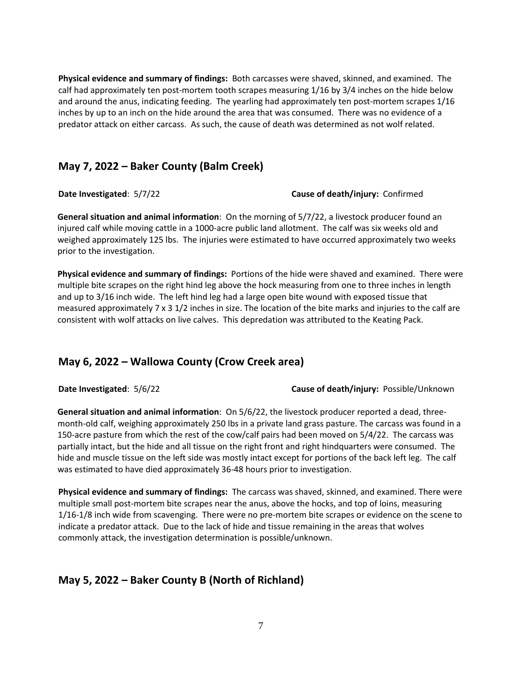**Physical evidence and summary of findings:** Both carcasses were shaved, skinned, and examined. The calf had approximately ten post-mortem tooth scrapes measuring 1/16 by 3/4 inches on the hide below and around the anus, indicating feeding. The yearling had approximately ten post-mortem scrapes 1/16 inches by up to an inch on the hide around the area that was consumed. There was no evidence of a predator attack on either carcass. As such, the cause of death was determined as not wolf related.

## **May 7, 2022 – Baker County (Balm Creek)**

### **Date Investigated**: 5/7/22 **Cause of death/injury:** Confirmed

**General situation and animal information**: On the morning of 5/7/22, a livestock producer found an injured calf while moving cattle in a 1000-acre public land allotment. The calf was six weeks old and weighed approximately 125 lbs. The injuries were estimated to have occurred approximately two weeks prior to the investigation.

**Physical evidence and summary of findings:** Portions of the hide were shaved and examined. There were multiple bite scrapes on the right hind leg above the hock measuring from one to three inches in length and up to 3/16 inch wide. The left hind leg had a large open bite wound with exposed tissue that measured approximately 7 x 3 1/2 inches in size. The location of the bite marks and injuries to the calf are consistent with wolf attacks on live calves. This depredation was attributed to the Keating Pack.

## **May 6, 2022 – Wallowa County (Crow Creek area)**

**Date Investigated**: 5/6/22 **Cause of death/injury:** Possible/Unknown

**General situation and animal information**: On 5/6/22, the livestock producer reported a dead, threemonth-old calf, weighing approximately 250 lbs in a private land grass pasture. The carcass was found in a 150-acre pasture from which the rest of the cow/calf pairs had been moved on 5/4/22. The carcass was partially intact, but the hide and all tissue on the right front and right hindquarters were consumed. The hide and muscle tissue on the left side was mostly intact except for portions of the back left leg. The calf was estimated to have died approximately 36-48 hours prior to investigation.

**Physical evidence and summary of findings:** The carcass was shaved, skinned, and examined. There were multiple small post-mortem bite scrapes near the anus, above the hocks, and top of loins, measuring 1/16-1/8 inch wide from scavenging. There were no pre-mortem bite scrapes or evidence on the scene to indicate a predator attack. Due to the lack of hide and tissue remaining in the areas that wolves commonly attack, the investigation determination is possible/unknown.

# **May 5, 2022 – Baker County B (North of Richland)**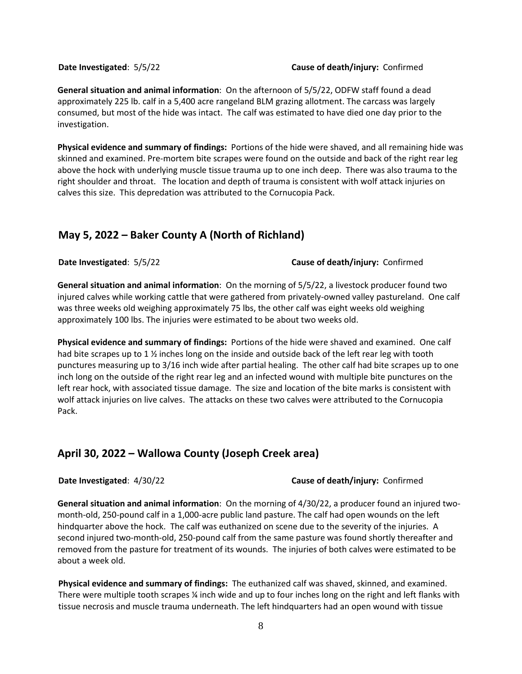#### **Date Investigated**: 5/5/22 **Cause of death/injury:** Confirmed

**General situation and animal information**: On the afternoon of 5/5/22, ODFW staff found a dead approximately 225 lb. calf in a 5,400 acre rangeland BLM grazing allotment. The carcass was largely consumed, but most of the hide was intact. The calf was estimated to have died one day prior to the investigation.

**Physical evidence and summary of findings:** Portions of the hide were shaved, and all remaining hide was skinned and examined. Pre-mortem bite scrapes were found on the outside and back of the right rear leg above the hock with underlying muscle tissue trauma up to one inch deep. There was also trauma to the right shoulder and throat. The location and depth of trauma is consistent with wolf attack injuries on calves this size. This depredation was attributed to the Cornucopia Pack.

## **May 5, 2022 – Baker County A (North of Richland)**

**Date Investigated**: 5/5/22 **Cause of death/injury:** Confirmed

**General situation and animal information**: On the morning of 5/5/22, a livestock producer found two injured calves while working cattle that were gathered from privately-owned valley pastureland. One calf was three weeks old weighing approximately 75 lbs, the other calf was eight weeks old weighing approximately 100 lbs. The injuries were estimated to be about two weeks old.

**Physical evidence and summary of findings:** Portions of the hide were shaved and examined. One calf had bite scrapes up to 1  $\frac{1}{2}$  inches long on the inside and outside back of the left rear leg with tooth punctures measuring up to 3/16 inch wide after partial healing. The other calf had bite scrapes up to one inch long on the outside of the right rear leg and an infected wound with multiple bite punctures on the left rear hock, with associated tissue damage. The size and location of the bite marks is consistent with wolf attack injuries on live calves. The attacks on these two calves were attributed to the Cornucopia Pack.

## **April 30, 2022 – Wallowa County (Joseph Creek area)**

#### **Date Investigated**: 4/30/22 **Cause of death/injury:** Confirmed

**General situation and animal information**: On the morning of 4/30/22, a producer found an injured twomonth-old, 250-pound calf in a 1,000-acre public land pasture. The calf had open wounds on the left hindquarter above the hock. The calf was euthanized on scene due to the severity of the injuries. A second injured two-month-old, 250-pound calf from the same pasture was found shortly thereafter and removed from the pasture for treatment of its wounds. The injuries of both calves were estimated to be about a week old.

**Physical evidence and summary of findings:** The euthanized calf was shaved, skinned, and examined. There were multiple tooth scrapes ¼ inch wide and up to four inches long on the right and left flanks with tissue necrosis and muscle trauma underneath. The left hindquarters had an open wound with tissue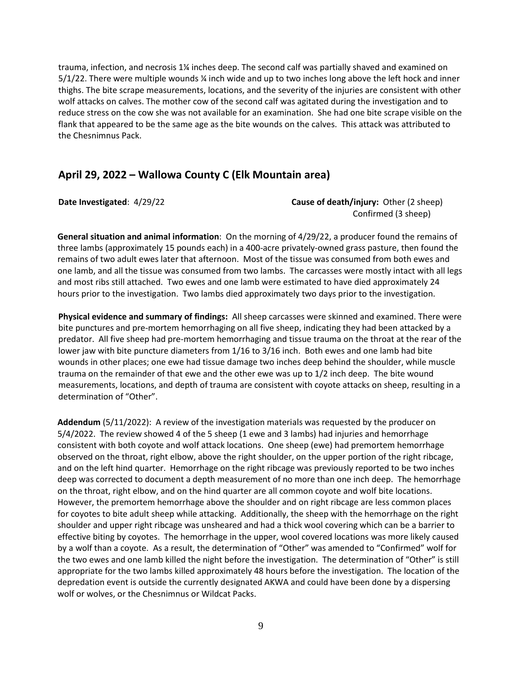trauma, infection, and necrosis 1¼ inches deep. The second calf was partially shaved and examined on 5/1/22. There were multiple wounds ¼ inch wide and up to two inches long above the left hock and inner thighs. The bite scrape measurements, locations, and the severity of the injuries are consistent with other wolf attacks on calves. The mother cow of the second calf was agitated during the investigation and to reduce stress on the cow she was not available for an examination. She had one bite scrape visible on the flank that appeared to be the same age as the bite wounds on the calves. This attack was attributed to the Chesnimnus Pack.

## **April 29, 2022 – Wallowa County C (Elk Mountain area)**

### **Date Investigated**: 4/29/22 **Cause of death/injury:** Other (2 sheep) Confirmed (3 sheep)

**General situation and animal information**: On the morning of 4/29/22, a producer found the remains of three lambs (approximately 15 pounds each) in a 400-acre privately-owned grass pasture, then found the remains of two adult ewes later that afternoon. Most of the tissue was consumed from both ewes and one lamb, and all the tissue was consumed from two lambs. The carcasses were mostly intact with all legs and most ribs still attached. Two ewes and one lamb were estimated to have died approximately 24 hours prior to the investigation. Two lambs died approximately two days prior to the investigation.

**Physical evidence and summary of findings:** All sheep carcasses were skinned and examined. There were bite punctures and pre-mortem hemorrhaging on all five sheep, indicating they had been attacked by a predator. All five sheep had pre-mortem hemorrhaging and tissue trauma on the throat at the rear of the lower jaw with bite puncture diameters from 1/16 to 3/16 inch. Both ewes and one lamb had bite wounds in other places; one ewe had tissue damage two inches deep behind the shoulder, while muscle trauma on the remainder of that ewe and the other ewe was up to 1/2 inch deep. The bite wound measurements, locations, and depth of trauma are consistent with coyote attacks on sheep, resulting in a determination of "Other".

**Addendum** (5/11/2022): A review of the investigation materials was requested by the producer on 5/4/2022. The review showed 4 of the 5 sheep (1 ewe and 3 lambs) had injuries and hemorrhage consistent with both coyote and wolf attack locations. One sheep (ewe) had premortem hemorrhage observed on the throat, right elbow, above the right shoulder, on the upper portion of the right ribcage, and on the left hind quarter. Hemorrhage on the right ribcage was previously reported to be two inches deep was corrected to document a depth measurement of no more than one inch deep. The hemorrhage on the throat, right elbow, and on the hind quarter are all common coyote and wolf bite locations. However, the premortem hemorrhage above the shoulder and on right ribcage are less common places for coyotes to bite adult sheep while attacking. Additionally, the sheep with the hemorrhage on the right shoulder and upper right ribcage was unsheared and had a thick wool covering which can be a barrier to effective biting by coyotes. The hemorrhage in the upper, wool covered locations was more likely caused by a wolf than a coyote. As a result, the determination of "Other" was amended to "Confirmed" wolf for the two ewes and one lamb killed the night before the investigation. The determination of "Other" is still appropriate for the two lambs killed approximately 48 hours before the investigation. The location of the depredation event is outside the currently designated AKWA and could have been done by a dispersing wolf or wolves, or the Chesnimnus or Wildcat Packs.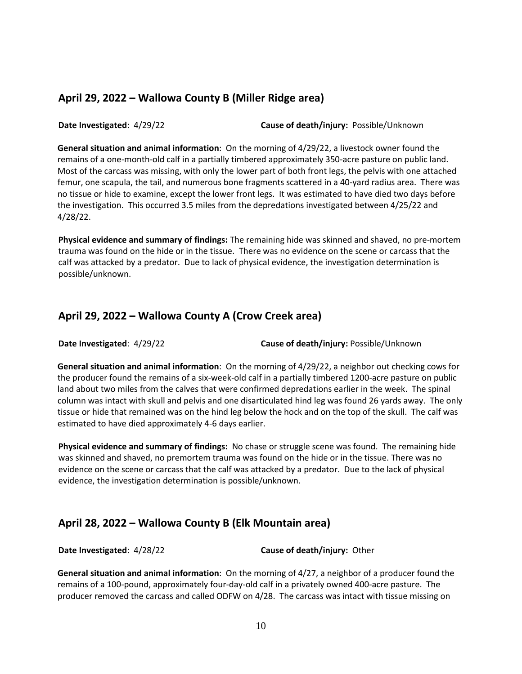## **April 29, 2022 – Wallowa County B (Miller Ridge area)**

**Date Investigated**: 4/29/22 **Cause of death/injury:** Possible/Unknown

**General situation and animal information**: On the morning of 4/29/22, a livestock owner found the remains of a one-month-old calf in a partially timbered approximately 350-acre pasture on public land. Most of the carcass was missing, with only the lower part of both front legs, the pelvis with one attached femur, one scapula, the tail, and numerous bone fragments scattered in a 40-yard radius area. There was no tissue or hide to examine, except the lower front legs. It was estimated to have died two days before the investigation. This occurred 3.5 miles from the depredations investigated between 4/25/22 and 4/28/22.

**Physical evidence and summary of findings:** The remaining hide was skinned and shaved, no pre-mortem trauma was found on the hide or in the tissue. There was no evidence on the scene or carcass that the calf was attacked by a predator. Due to lack of physical evidence, the investigation determination is possible/unknown.

## **April 29, 2022 – Wallowa County A (Crow Creek area)**

**Date Investigated**: 4/29/22 **Cause of death/injury:** Possible/Unknown

**General situation and animal information**: On the morning of 4/29/22, a neighbor out checking cows for the producer found the remains of a six-week-old calf in a partially timbered 1200-acre pasture on public land about two miles from the calves that were confirmed depredations earlier in the week. The spinal column was intact with skull and pelvis and one disarticulated hind leg was found 26 yards away. The only tissue or hide that remained was on the hind leg below the hock and on the top of the skull. The calf was estimated to have died approximately 4-6 days earlier.

**Physical evidence and summary of findings:** No chase or struggle scene was found. The remaining hide was skinned and shaved, no premortem trauma was found on the hide or in the tissue. There was no evidence on the scene or carcass that the calf was attacked by a predator. Due to the lack of physical evidence, the investigation determination is possible/unknown.

# **April 28, 2022 – Wallowa County B (Elk Mountain area)**

**Date Investigated**: 4/28/22 **Cause of death/injury:** Other

**General situation and animal information**: On the morning of 4/27, a neighbor of a producer found the remains of a 100-pound, approximately four-day-old calf in a privately owned 400-acre pasture. The producer removed the carcass and called ODFW on 4/28. The carcass was intact with tissue missing on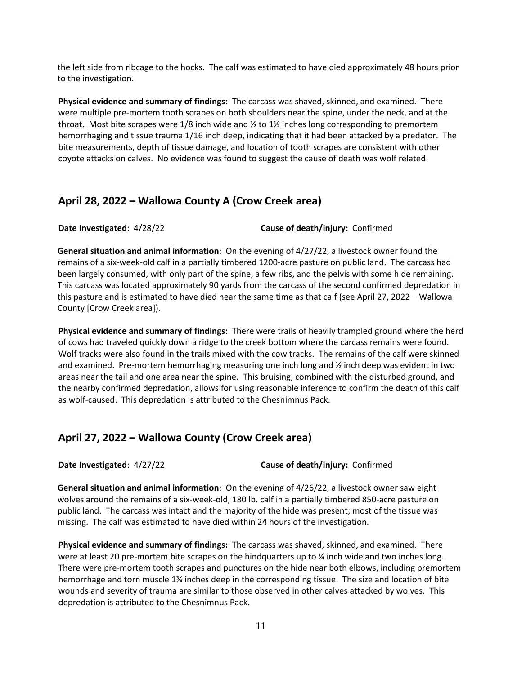the left side from ribcage to the hocks. The calf was estimated to have died approximately 48 hours prior to the investigation.

**Physical evidence and summary of findings:** The carcass was shaved, skinned, and examined. There were multiple pre-mortem tooth scrapes on both shoulders near the spine, under the neck, and at the throat. Most bite scrapes were  $1/8$  inch wide and  $\frac{1}{2}$  to  $1\frac{1}{2}$  inches long corresponding to premortem hemorrhaging and tissue trauma 1/16 inch deep, indicating that it had been attacked by a predator. The bite measurements, depth of tissue damage, and location of tooth scrapes are consistent with other coyote attacks on calves. No evidence was found to suggest the cause of death was wolf related.

## **April 28, 2022 – Wallowa County A (Crow Creek area)**

**Date Investigated**: 4/28/22 **Cause of death/injury:** Confirmed

**General situation and animal information**: On the evening of 4/27/22, a livestock owner found the remains of a six-week-old calf in a partially timbered 1200-acre pasture on public land. The carcass had been largely consumed, with only part of the spine, a few ribs, and the pelvis with some hide remaining. This carcass was located approximately 90 yards from the carcass of the second confirmed depredation in this pasture and is estimated to have died near the same time as that calf (see April 27, 2022 – Wallowa County [Crow Creek area]).

**Physical evidence and summary of findings:** There were trails of heavily trampled ground where the herd of cows had traveled quickly down a ridge to the creek bottom where the carcass remains were found. Wolf tracks were also found in the trails mixed with the cow tracks. The remains of the calf were skinned and examined. Pre-mortem hemorrhaging measuring one inch long and ½ inch deep was evident in two areas near the tail and one area near the spine. This bruising, combined with the disturbed ground, and the nearby confirmed depredation, allows for using reasonable inference to confirm the death of this calf as wolf-caused. This depredation is attributed to the Chesnimnus Pack.

## **April 27, 2022 – Wallowa County (Crow Creek area)**

**Date Investigated**: 4/27/22 **Cause of death/injury:** Confirmed

**General situation and animal information**: On the evening of 4/26/22, a livestock owner saw eight wolves around the remains of a six-week-old, 180 lb. calf in a partially timbered 850-acre pasture on public land. The carcass was intact and the majority of the hide was present; most of the tissue was missing. The calf was estimated to have died within 24 hours of the investigation.

**Physical evidence and summary of findings:** The carcass was shaved, skinned, and examined. There were at least 20 pre-mortem bite scrapes on the hindquarters up to  $\frac{1}{2}$  inch wide and two inches long. There were pre-mortem tooth scrapes and punctures on the hide near both elbows, including premortem hemorrhage and torn muscle 1¾ inches deep in the corresponding tissue. The size and location of bite wounds and severity of trauma are similar to those observed in other calves attacked by wolves. This depredation is attributed to the Chesnimnus Pack.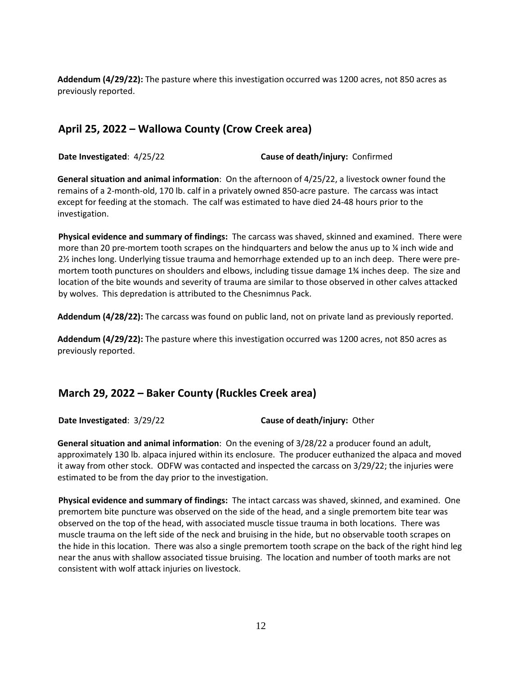**Addendum (4/29/22):** The pasture where this investigation occurred was 1200 acres, not 850 acres as previously reported.

## **April 25, 2022 – Wallowa County (Crow Creek area)**

**Date Investigated**: 4/25/22 **Cause of death/injury:** Confirmed

**General situation and animal information**: On the afternoon of 4/25/22, a livestock owner found the remains of a 2-month-old, 170 lb. calf in a privately owned 850-acre pasture. The carcass was intact except for feeding at the stomach. The calf was estimated to have died 24-48 hours prior to the investigation.

**Physical evidence and summary of findings:** The carcass was shaved, skinned and examined. There were more than 20 pre-mortem tooth scrapes on the hindquarters and below the anus up to  $\frac{1}{4}$  inch wide and 2½ inches long. Underlying tissue trauma and hemorrhage extended up to an inch deep. There were premortem tooth punctures on shoulders and elbows, including tissue damage 1¾ inches deep. The size and location of the bite wounds and severity of trauma are similar to those observed in other calves attacked by wolves. This depredation is attributed to the Chesnimnus Pack.

**Addendum (4/28/22):** The carcass was found on public land, not on private land as previously reported.

**Addendum (4/29/22):** The pasture where this investigation occurred was 1200 acres, not 850 acres as previously reported.

## **March 29, 2022 – Baker County (Ruckles Creek area)**

**Date Investigated**: 3/29/22 **Cause of death/injury:** Other

**General situation and animal information**: On the evening of 3/28/22 a producer found an adult, approximately 130 lb. alpaca injured within its enclosure. The producer euthanized the alpaca and moved it away from other stock. ODFW was contacted and inspected the carcass on 3/29/22; the injuries were estimated to be from the day prior to the investigation.

**Physical evidence and summary of findings:** The intact carcass was shaved, skinned, and examined. One premortem bite puncture was observed on the side of the head, and a single premortem bite tear was observed on the top of the head, with associated muscle tissue trauma in both locations. There was muscle trauma on the left side of the neck and bruising in the hide, but no observable tooth scrapes on the hide in this location. There was also a single premortem tooth scrape on the back of the right hind leg near the anus with shallow associated tissue bruising. The location and number of tooth marks are not consistent with wolf attack injuries on livestock.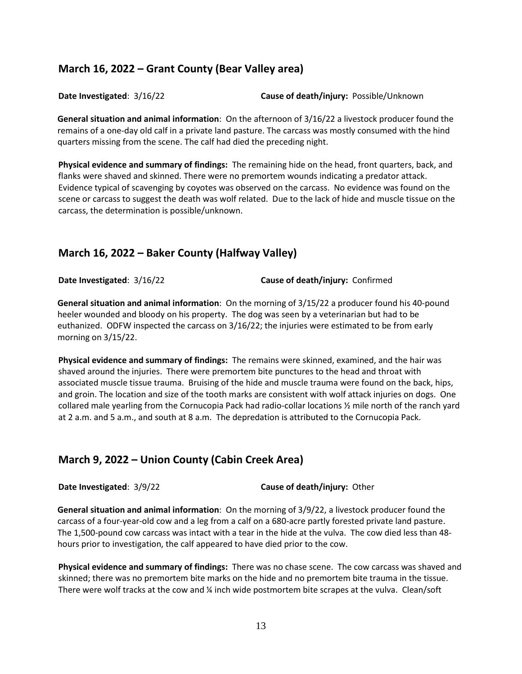## **March 16, 2022 – Grant County (Bear Valley area)**

**Date Investigated**: 3/16/22 **Cause of death/injury:** Possible/Unknown

**General situation and animal information**: On the afternoon of 3/16/22 a livestock producer found the remains of a one-day old calf in a private land pasture. The carcass was mostly consumed with the hind quarters missing from the scene. The calf had died the preceding night.

**Physical evidence and summary of findings:** The remaining hide on the head, front quarters, back, and flanks were shaved and skinned. There were no premortem wounds indicating a predator attack. Evidence typical of scavenging by coyotes was observed on the carcass. No evidence was found on the scene or carcass to suggest the death was wolf related. Due to the lack of hide and muscle tissue on the carcass, the determination is possible/unknown.

## **March 16, 2022 – Baker County (Halfway Valley)**

**Date Investigated**: 3/16/22 **Cause of death/injury:** Confirmed

**General situation and animal information**: On the morning of 3/15/22 a producer found his 40-pound heeler wounded and bloody on his property. The dog was seen by a veterinarian but had to be euthanized. ODFW inspected the carcass on 3/16/22; the injuries were estimated to be from early morning on 3/15/22.

**Physical evidence and summary of findings:** The remains were skinned, examined, and the hair was shaved around the injuries. There were premortem bite punctures to the head and throat with associated muscle tissue trauma. Bruising of the hide and muscle trauma were found on the back, hips, and groin. The location and size of the tooth marks are consistent with wolf attack injuries on dogs. One collared male yearling from the Cornucopia Pack had radio-collar locations ½ mile north of the ranch yard at 2 a.m. and 5 a.m., and south at 8 a.m. The depredation is attributed to the Cornucopia Pack.

## **March 9, 2022 – Union County (Cabin Creek Area)**

**Date Investigated**: 3/9/22 **Cause of death/injury:** Other

**General situation and animal information**: On the morning of 3/9/22, a livestock producer found the carcass of a four-year-old cow and a leg from a calf on a 680-acre partly forested private land pasture. The 1,500-pound cow carcass was intact with a tear in the hide at the vulva. The cow died less than 48 hours prior to investigation, the calf appeared to have died prior to the cow.

**Physical evidence and summary of findings:** There was no chase scene. The cow carcass was shaved and skinned; there was no premortem bite marks on the hide and no premortem bite trauma in the tissue. There were wolf tracks at the cow and ¼ inch wide postmortem bite scrapes at the vulva. Clean/soft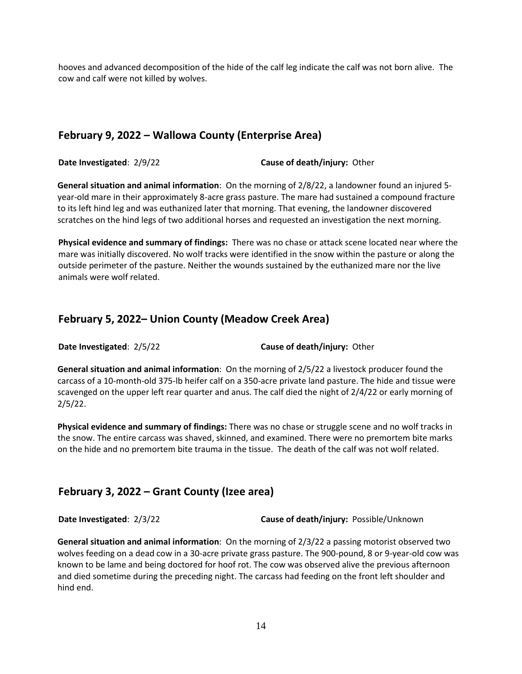hooves and advanced decomposition of the hide of the calf leg indicate the calf was not born alive. The cow and calf were not killed by wolves.

## **February 9, 2022 – Wallowa County (Enterprise Area)**

**Date Investigated**: 2/9/22 **Cause of death/injury:** Other

**General situation and animal information**: On the morning of 2/8/22, a landowner found an injured 5 year-old mare in their approximately 8-acre grass pasture. The mare had sustained a compound fracture to its left hind leg and was euthanized later that morning. That evening, the landowner discovered scratches on the hind legs of two additional horses and requested an investigation the next morning.

**Physical evidence and summary of findings:** There was no chase or attack scene located near where the mare was initially discovered. No wolf tracks were identified in the snow within the pasture or along the outside perimeter of the pasture. Neither the wounds sustained by the euthanized mare nor the live animals were wolf related.

## **February 5, 2022– Union County (Meadow Creek Area)**

**Date Investigated**: 2/5/22 **Cause of death/injury:** Other

**General situation and animal information**: On the morning of 2/5/22 a livestock producer found the carcass of a 10-month-old 375-lb heifer calf on a 350-acre private land pasture. The hide and tissue were scavenged on the upper left rear quarter and anus. The calf died the night of 2/4/22 or early morning of 2/5/22.

**Physical evidence and summary of findings:** There was no chase or struggle scene and no wolf tracks in the snow. The entire carcass was shaved, skinned, and examined. There were no premortem bite marks on the hide and no premortem bite trauma in the tissue. The death of the calf was not wolf related.

## **February 3, 2022 – Grant County (Izee area)**

**Date Investigated**: 2/3/22 **Cause of death/injury:** Possible/Unknown

**General situation and animal information**: On the morning of 2/3/22 a passing motorist observed two wolves feeding on a dead cow in a 30-acre private grass pasture. The 900-pound, 8 or 9-year-old cow was known to be lame and being doctored for hoof rot. The cow was observed alive the previous afternoon and died sometime during the preceding night. The carcass had feeding on the front left shoulder and hind end.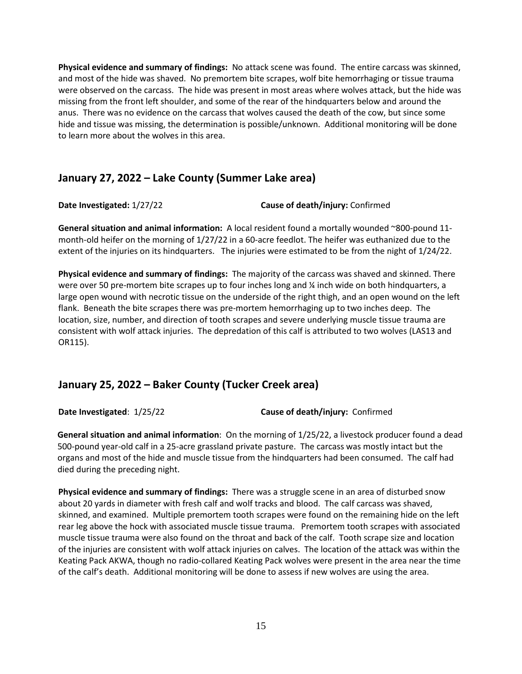**Physical evidence and summary of findings:** No attack scene was found. The entire carcass was skinned, and most of the hide was shaved. No premortem bite scrapes, wolf bite hemorrhaging or tissue trauma were observed on the carcass. The hide was present in most areas where wolves attack, but the hide was missing from the front left shoulder, and some of the rear of the hindquarters below and around the anus. There was no evidence on the carcass that wolves caused the death of the cow, but since some hide and tissue was missing, the determination is possible/unknown. Additional monitoring will be done to learn more about the wolves in this area.

## **January 27, 2022 – Lake County (Summer Lake area)**

**Date Investigated:** 1/27/22 **Cause of death/injury:** Confirmed

**General situation and animal information:** A local resident found a mortally wounded ~800-pound 11 month-old heifer on the morning of 1/27/22 in a 60-acre feedlot. The heifer was euthanized due to the extent of the injuries on its hindquarters. The injuries were estimated to be from the night of 1/24/22.

**Physical evidence and summary of findings:** The majority of the carcass was shaved and skinned. There were over 50 pre-mortem bite scrapes up to four inches long and  $\frac{1}{4}$  inch wide on both hindquarters, a large open wound with necrotic tissue on the underside of the right thigh, and an open wound on the left flank. Beneath the bite scrapes there was pre-mortem hemorrhaging up to two inches deep. The location, size, number, and direction of tooth scrapes and severe underlying muscle tissue trauma are consistent with wolf attack injuries. The depredation of this calf is attributed to two wolves (LAS13 and OR115).

## **January 25, 2022 – Baker County (Tucker Creek area)**

**Date Investigated**: 1/25/22 **Cause of death/injury:** Confirmed

**General situation and animal information**: On the morning of 1/25/22, a livestock producer found a dead 500-pound year-old calf in a 25-acre grassland private pasture. The carcass was mostly intact but the organs and most of the hide and muscle tissue from the hindquarters had been consumed. The calf had died during the preceding night.

**Physical evidence and summary of findings:** There was a struggle scene in an area of disturbed snow about 20 yards in diameter with fresh calf and wolf tracks and blood. The calf carcass was shaved, skinned, and examined. Multiple premortem tooth scrapes were found on the remaining hide on the left rear leg above the hock with associated muscle tissue trauma. Premortem tooth scrapes with associated muscle tissue trauma were also found on the throat and back of the calf. Tooth scrape size and location of the injuries are consistent with wolf attack injuries on calves. The location of the attack was within the Keating Pack AKWA, though no radio-collared Keating Pack wolves were present in the area near the time of the calf's death. Additional monitoring will be done to assess if new wolves are using the area.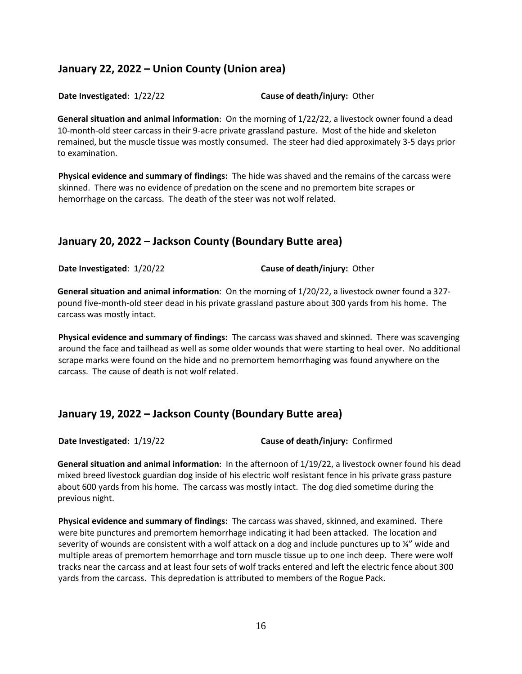# **January 22, 2022 – Union County (Union area)**

**Date Investigated**: 1/22/22 **Cause of death/injury:** Other

**General situation and animal information**: On the morning of 1/22/22, a livestock owner found a dead 10-month-old steer carcass in their 9-acre private grassland pasture. Most of the hide and skeleton remained, but the muscle tissue was mostly consumed. The steer had died approximately 3-5 days prior to examination.

**Physical evidence and summary of findings:** The hide was shaved and the remains of the carcass were skinned. There was no evidence of predation on the scene and no premortem bite scrapes or hemorrhage on the carcass. The death of the steer was not wolf related.

# **January 20, 2022 – Jackson County (Boundary Butte area)**

**Date Investigated**: 1/20/22 **Cause of death/injury:** Other

**General situation and animal information**: On the morning of 1/20/22, a livestock owner found a 327 pound five-month-old steer dead in his private grassland pasture about 300 yards from his home. The carcass was mostly intact.

**Physical evidence and summary of findings:** The carcass was shaved and skinned. There was scavenging around the face and tailhead as well as some older wounds that were starting to heal over. No additional scrape marks were found on the hide and no premortem hemorrhaging was found anywhere on the carcass. The cause of death is not wolf related.

# **January 19, 2022 – Jackson County (Boundary Butte area)**

**Date Investigated**: 1/19/22 **Cause of death/injury:** Confirmed

**General situation and animal information**: In the afternoon of 1/19/22, a livestock owner found his dead mixed breed livestock guardian dog inside of his electric wolf resistant fence in his private grass pasture about 600 yards from his home. The carcass was mostly intact. The dog died sometime during the previous night.

**Physical evidence and summary of findings:** The carcass was shaved, skinned, and examined. There were bite punctures and premortem hemorrhage indicating it had been attacked. The location and severity of wounds are consistent with a wolf attack on a dog and include punctures up to ¼" wide and multiple areas of premortem hemorrhage and torn muscle tissue up to one inch deep. There were wolf tracks near the carcass and at least four sets of wolf tracks entered and left the electric fence about 300 yards from the carcass. This depredation is attributed to members of the Rogue Pack.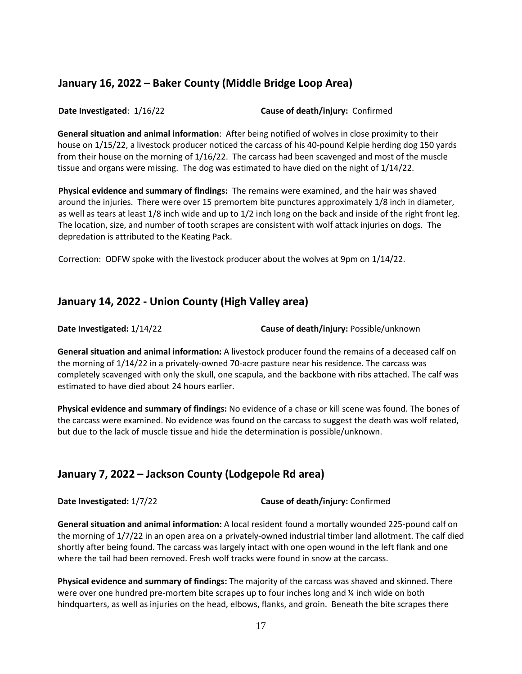## **January 16, 2022 – Baker County (Middle Bridge Loop Area)**

**Date Investigated**: 1/16/22 **Cause of death/injury:** Confirmed

**General situation and animal information**: After being notified of wolves in close proximity to their house on 1/15/22, a livestock producer noticed the carcass of his 40-pound Kelpie herding dog 150 yards from their house on the morning of 1/16/22. The carcass had been scavenged and most of the muscle tissue and organs were missing. The dog was estimated to have died on the night of 1/14/22.

**Physical evidence and summary of findings:** The remains were examined, and the hair was shaved around the injuries. There were over 15 premortem bite punctures approximately 1/8 inch in diameter, as well as tears at least 1/8 inch wide and up to 1/2 inch long on the back and inside of the right front leg. The location, size, and number of tooth scrapes are consistent with wolf attack injuries on dogs. The depredation is attributed to the Keating Pack.

Correction: ODFW spoke with the livestock producer about the wolves at 9pm on 1/14/22.

## **January 14, 2022 - Union County (High Valley area)**

**Date Investigated:** 1/14/22 **Cause of death/injury:** Possible/unknown

**General situation and animal information:** A livestock producer found the remains of a deceased calf on the morning of 1/14/22 in a privately-owned 70-acre pasture near his residence. The carcass was completely scavenged with only the skull, one scapula, and the backbone with ribs attached. The calf was estimated to have died about 24 hours earlier.

**Physical evidence and summary of findings:** No evidence of a chase or kill scene was found. The bones of the carcass were examined. No evidence was found on the carcass to suggest the death was wolf related, but due to the lack of muscle tissue and hide the determination is possible/unknown.

# **January 7, 2022 – Jackson County (Lodgepole Rd area)**

**Date Investigated:** 1/7/22 **Cause of death/injury:** Confirmed

**General situation and animal information:** A local resident found a mortally wounded 225-pound calf on the morning of 1/7/22 in an open area on a privately-owned industrial timber land allotment. The calf died shortly after being found. The carcass was largely intact with one open wound in the left flank and one where the tail had been removed. Fresh wolf tracks were found in snow at the carcass.

**Physical evidence and summary of findings:** The majority of the carcass was shaved and skinned. There were over one hundred pre-mortem bite scrapes up to four inches long and  $\frac{1}{4}$  inch wide on both hindquarters, as well as injuries on the head, elbows, flanks, and groin. Beneath the bite scrapes there